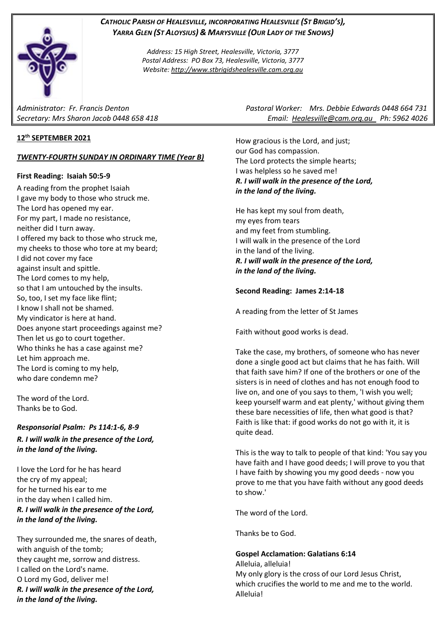# *CATHOLIC PARISH OF HEALESVILLE, INCORPORATING HEALESVILLE (ST BRIGID'S), YARRA GLEN (ST ALOYSIUS) & MARYSVILLE (OUR LADY OF THE SNOWS)*

*Address: 15 High Street, Healesville, Victoria, 3777 Postal Address: PO Box 73, Healesville, Victoria, 3777 Website: [http://www.stbrigidshealesville.cam.org.au](http://www.stbrigidshealesville.cam.org.au/)*

### **12th SEPTEMBER 2021**

# *TWENTY-FOURTH SUNDAY IN ORDINARY TIME (Year B)*

#### **First Reading: Isaiah 50:5-9**

A reading from the prophet Isaiah I gave my body to those who struck me. The Lord has opened my ear. For my part, I made no resistance, neither did I turn away. I offered my back to those who struck me, my cheeks to those who tore at my beard; I did not cover my face against insult and spittle. The Lord comes to my help, so that I am untouched by the insults. So, too, I set my face like flint; I know I shall not be shamed. My vindicator is here at hand. Does anyone start proceedings against me? Then let us go to court together. Who thinks he has a case against me? Let him approach me. The Lord is coming to my help, who dare condemn me?

The word of the Lord. Thanks be to God.

# *Responsorial Psalm: Ps 114:1-6, 8-9*

*R. I will walk in the presence of the Lord, in the land of the living.*

I love the Lord for he has heard the cry of my appeal; for he turned his ear to me in the day when I called him. *R. I will walk in the presence of the Lord, in the land of the living.*

They surrounded me, the snares of death, with anguish of the tomb; they caught me, sorrow and distress. I called on the Lord's name. O Lord my God, deliver me! *R. I will walk in the presence of the Lord, in the land of the living.*

*Administrator: Fr. Francis Denton Pastoral Worker: Mrs. Debbie Edwards 0448 664 731 Secretary: Mrs Sharon Jacob 0448 658 418 Email: [Healesville@cam.org.au](mailto:Healesville@cam.org.au) Ph: 5962 4026* 

> How gracious is the Lord, and just; our God has compassion. The Lord protects the simple hearts; I was helpless so he saved me! *R. I will walk in the presence of the Lord, in the land of the living.*

> He has kept my soul from death, my eyes from tears and my feet from stumbling. I will walk in the presence of the Lord in the land of the living. *R. I will walk in the presence of the Lord, in the land of the living.*

# **Second Reading: James 2:14-18**

A reading from the letter of St James

Faith without good works is dead.

Take the case, my brothers, of someone who has never done a single good act but claims that he has faith. Will that faith save him? If one of the brothers or one of the sisters is in need of clothes and has not enough food to live on, and one of you says to them, 'I wish you well; keep yourself warm and eat plenty,' without giving them these bare necessities of life, then what good is that? Faith is like that: if good works do not go with it, it is quite dead.

This is the way to talk to people of that kind: 'You say you have faith and I have good deeds; I will prove to you that I have faith by showing you my good deeds - now you prove to me that you have faith without any good deeds to show.'

The word of the Lord.

Thanks be to God.

# **Gospel Acclamation: Galatians 6:14**

Alleluia, alleluia! My only glory is the cross of our Lord Jesus Christ, which crucifies the world to me and me to the world. Alleluia!

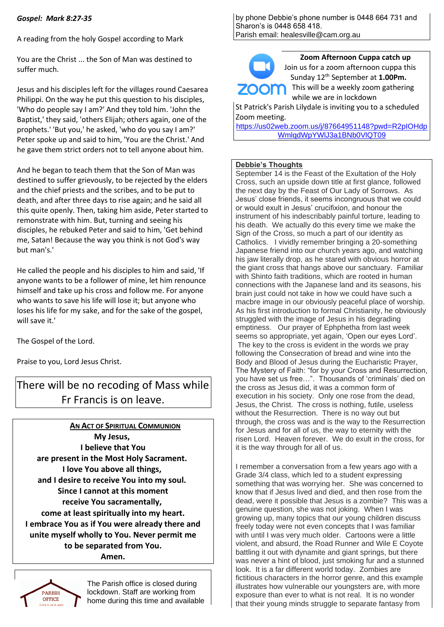# *Gospel: Mark 8:27-35*

A reading from the holy Gospel according to Mark

You are the Christ ... the Son of Man was destined to suffer much.

Jesus and his disciples left for the villages round Caesarea Philippi. On the way he put this question to his disciples, 'Who do people say I am?' And they told him. 'John the Baptist,' they said, 'others Elijah; others again, one of the prophets.' 'But you,' he asked, 'who do you say I am?' Peter spoke up and said to him, 'You are the Christ.' And he gave them strict orders not to tell anyone about him.

And he began to teach them that the Son of Man was destined to suffer grievously, to be rejected by the elders and the chief priests and the scribes, and to be put to death, and after three days to rise again; and he said all this quite openly. Then, taking him aside, Peter started to remonstrate with him. But, turning and seeing his disciples, he rebuked Peter and said to him, 'Get behind me, Satan! Because the way you think is not God's way but man's.'

He called the people and his disciples to him and said, 'If anyone wants to be a follower of mine, let him renounce himself and take up his cross and follow me. For anyone who wants to save his life will lose it; but anyone who loses his life for my sake, and for the sake of the gospel, will save it.'

The Gospel of the Lord.

Praise to you, Lord Jesus Christ.

There will be no recoding of Mass while Fr Francis is on leave.

**AN ACT OF SPIRITUAL COMMUNION My Jesus, I believe that You are present in the Most Holy Sacrament. I love You above all things, and I desire to receive You into my soul. Since I cannot at this moment receive You sacramentally, come at least spiritually into my heart. I embrace You as if You were already there and unite myself wholly to You. Never permit me to be separated from You. Amen.**

PARISH **OFFICE** 

The Parish office is closed during lockdown. Staff are working from home during this time and available by phone Debbie's phone number is 0448 664 731 and Sharon's is 0448 658 418. Parish email: healesville@cam.org.au



**Zoom Afternoon Cuppa catch up** Join us for a zoom afternoon cuppa this Sunday 12th September at **1.00Pm. ZOOM** This will be a weekly zoom gathering while we are in lockdown

St Patrick's Parish Lilydale is inviting you to a scheduled Zoom meeting.

[https://us02web.zoom.us/j/87664951148?pwd=R2pIOHdp](https://us02web.zoom.us/j/87664951148?pwd=R2pIOHdpWmlqdWpYWlJ3a1BNb0VlQT09) [WmlqdWpYWlJ3a1BNb0VlQT09](https://us02web.zoom.us/j/87664951148?pwd=R2pIOHdpWmlqdWpYWlJ3a1BNb0VlQT09)

#### **Debbie's Thoughts**

September 14 is the Feast of the Exultation of the Holy Cross, such an upside down title at first glance, followed the next day by the Feast of Our Lady of Sorrows. As Jesus' close friends, it seems incongruous that we could or would exult in Jesus' crucifixion, and honour the instrument of his indescribably painful torture, leading to his death. We actually do this every time we make the Sign of the Cross, so much a part of our identity as Catholics. I vividly remember bringing a 20-something Japanese friend into our church years ago, and watching his jaw literally drop, as he stared with obvious horror at the giant cross that hangs above our sanctuary. Familiar with Shinto faith traditions, which are rooted in human connections with the Japanese land and its seasons, his brain just could not take in how we could have such a macbre image in our obviously peaceful place of worship. As his first introduction to formal Christianity, he obviously struggled with the image of Jesus in his degrading emptiness. Our prayer of Ephphetha from last week seems so appropriate, yet again, 'Open our eyes Lord'. The key to the cross is evident in the words we pray following the Consecration of bread and wine into the Body and Blood of Jesus during the Eucharistic Prayer, The Mystery of Faith: "for by your Cross and Resurrection, you have set us free…". Thousands of 'criminals' died on the cross as Jesus did, it was a common form of execution in his society. Only one rose from the dead, Jesus, the Christ. The cross is nothing, futile, useless without the Resurrection. There is no way out but through, the cross was and is the way to the Resurrection for Jesus and for all of us, the way to eternity with the risen Lord. Heaven forever. We do exult in the cross, for it is the way through for all of us.

I remember a conversation from a few years ago with a Grade 3/4 class, which led to a student expressing something that was worrying her. She was concerned to know that if Jesus lived and died, and then rose from the dead, were it possible that Jesus is a zombie? This was a genuine question, she was not joking. When I was growing up, many topics that our young children discuss freely today were not even concepts that I was familiar with until I was very much older. Cartoons were a little violent, and absurd, the Road Runner and Wile E Coyote battling it out with dynamite and giant springs, but there was never a hint of blood, just smoking fur and a stunned look. It is a far different world today. Zombies are fictitious characters in the horror genre, and this example illustrates how vulnerable our youngsters are, with more exposure than ever to what is not real. It is no wonder that their young minds struggle to separate fantasy from